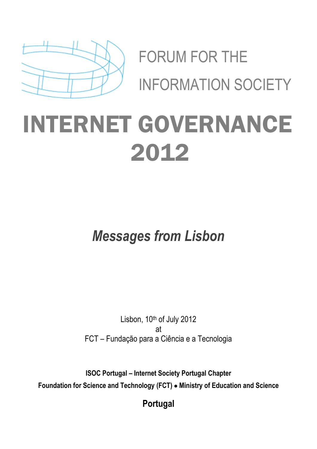

FORUM FOR THE INFORMATION SOCIETY

## INTERNET GOVERNANCE 2012

*Messages from Lisbon*

Lisbon, 10th of July 2012 at FCT – Fundação para a Ciência e a Tecnologia

**ISOC Portugal – Internet Society Portugal Chapter Foundation for Science and Technology (FCT) Ministry of Education and Science**

**Portugal**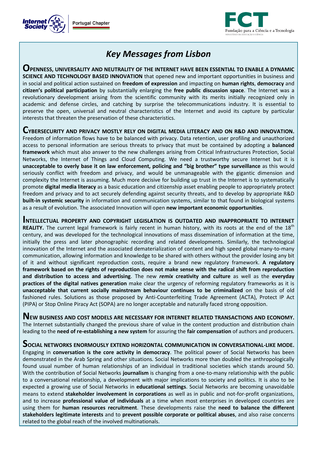



## *Key Messages from Lisbon*

**OPENNESS, UNIVERSALITY AND NEUTRALITY OF THE INTERNET HAVE BEEN ESSENTIAL TO ENABLE A DYNAMIC SCIENCE AND TECHNOLOGY BASED INNOVATION** that opened new and important opportunities in business and in social and political action sustained on **freedom of expression** and impacting on **human rights**, **democracy** and **citizen's political participation** by substantially enlarging the **free public discussion space**. The Internet was a revolutionary development arising from the scientific community with its merits initially recognized only in academic and defense circles, and catching by surprise the telecommunications industry. It is essential to preserve the open, universal and neutral characteristics of the Internet and avoid its capture by particular interests that threaten the preservation of these characteristics.

**CYBERSECURITY AND PRIVACY MOSTLY RELY ON DIGITAL MEDIA LITERACY AND ON R&D AND INNOVATION.** Freedom of information flows have to be balanced with privacy. Data retention, user profiling and unauthorized access to personal information are serious threats to privacy that must be contained by adopting a **balanced framework** which must also answer to the new challenges arising from Critical Infrastructures Protection, Social Networks, the Internet of Things and Cloud Computing. We need a trustworthy secure Internet but it is **unacceptable to overly base it on law enforcement, policing and "big brother" type surveillance** as this would seriously conflict with freedom and privacy, and would be unmanageable with the gigantic dimension and complexity the Internet is assuming. Much more decisive for building up trust in the Internet is to systematically promote **digital media literacy** as a basic education and citizenship asset enabling people to appropriately protect freedom and privacy and to act securely defending against security threats, and to develop by appropriate R&D **built-in systemic security** in information and communication systems, similar to that found in biological systems as a result of evolution. The associated Innovation will open **new important economic opportunities**.

**INTELLECTUAL PROPERTY AND COPYRIGHT LEGISLATION IS OUTDATED AND INAPPROPRIATE TO INTERNET REALITY.** The current legal framework is fairly recent in human history, with its roots at the end of the 18<sup>th</sup> century, and was developed for the technological innovations of mass dissemination of information at the time, initially the press and later phonographic recording and related developments. Similarly, the technological innovation of the Internet and the associated dematerialization of content and high speed global many-to-many communication, allowing information and knowledge to be shared with others without the provider losing any bit of it and without significant reproduction costs, require a brand new regulatory framework. **A regulatory framework based on the rights of reproduction does not make sense with the radical shift from reproduction and distribution to access and advertising**. The new *remix* **creativity and culture** as well as the **everyday practices of the digital natives generation** make clear the urgency of reforming regulatory frameworks as it is **unacceptable that current socially mainstream behaviour continues to be criminalized** on the basis of old fashioned rules. Solutions as those proposed by Anti-Counterfeiting Trade Agreement (ACTA), Protect IP Act (PIPA) or Stop Online Piracy Act (SOPA) are no longer acceptable and naturally faced strong opposition.

**NEW BUSINESS AND COST MODELS ARE NECESSARY FOR INTERNET RELATED TRANSACTIONS AND ECONOMY.**  The Internet substantially changed the previous share of value in the content production and distribution chain leading to the **need of re-establishing a new system** for assuring the **fair compensation** of authors and producers.

**SOCIAL NETWORKS ENORMOUSLY EXTEND HORIZONTAL COMMUNICATION IN CONVERSATIONAL-LIKE MODE.** Engaging in **conversation is the core activity in democracy**. The political power of Social Networks has been demonstrated in the Arab Spring and other situations. Social Networks more than doubled the anthropologically found usual number of human relationships of an individual in traditional societies which stands around 50. With the contribution of Social Networks **journalism** is changing from a one-to-many relationship with the public to a conversational relationship, a development with major implications to society and politics. It is also to be expected a growing use of Social Networks in **educational settings**. Social Networks are becoming unavoidable means to extend **stakeholder involvement in corporations** as well as in public and not-for-profit organizations, and to increase **professional value of individuals** at a time when most enterprises in developed countries are using them for **human resources recruitment**. These developments raise the **need to balance the different stakeholders legitimate interests** and to **prevent possible corporate or political abuses**, and also raise concerns related to the global reach of the involved multinationals.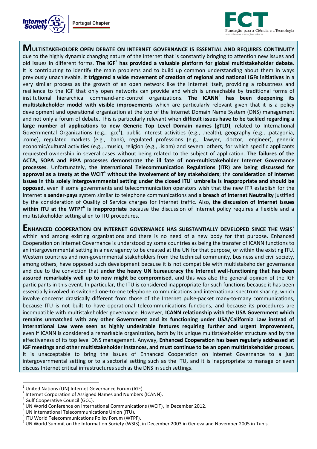



**MULTISTAKEHOLDER OPEN DEBATE ON INTERNET GOVERNANCE IS ESSENTIAL AND REQUIRES CONTINUITY** due to the highly dynamic changing nature of the Internet that is constantly bringing to attention new issues and old issues in different forms. **The IGF**<sup>1</sup> **has provided a valuable platform for global multistakeholder debate**. It is contributing to identify the main problems and to build up common understanding about them in ways previously unachievable. It **triggered a wide movement of creation of regional and national IGFs initiatives** in a very similar process as the growth of an open network like the Internet itself, providing a robustness and resilience to the IGF that only open networks can provide and which is unreachable by traditional forms of institutional hierarchical command-and-control organizations. **The ICANN**<sup>2</sup> **has been deepening its multistakeholder model with visible improvements** which are particularly relevant given that it is a policy development and operational organization at the top of the Internet Domain Name System (DNS) management and not only a forum of debate. This is particularly relevant when **difficult issues have to be tackled regarding a large number of applications to new Generic Top Level Domain names (gTLD)**, related to International Governmental Organizations (e.g., .gcc<sup>3</sup>), public interest activities (e.g., .health), geography (e.g., .patagonia, .rome), regulated markets (e.g., .bank), regulated professions (e.g., .lawyer, .doctor, .engineer), generic economic/cultural activities (e.g., .music), religion (e.g., .islam) and several others, for which specific applicants requested ownership in several cases without being related to the subject of application. **The failures of the ACTA, SOPA and PIPA processes demonstrate the ill fate of non-multistakeholder Internet Governance processes**. Unfortunately, **the International Telecommunication Regulations (ITR) are being discussed for approval as a treaty at the WCIT**<sup>4</sup> **without the involvement of key stakeholders**; the **consideration of Internet issues in this solely intergovernmental setting under the closed ITU**<sup>5</sup> **umbrella is inappropriate and should be opposed**, even if some governments and telecommunication operators wish that the new ITR establish for the Internet a **sender-pays** system similar to telephone communications and a **breach of Internet Neutrality** justified by the consideration of Quality of Service charges for Internet traffic. Also, **the discussion of Internet issues within ITU at the WTPF<sup>6</sup> is inappropriate** because the discussion of Internet policy requires a flexible and a multistakeholder setting alien to ITU procedures.

**ENHANCED COOPERATION ON INTERNET GOVERNANCE HAS SUBSTANTIALLY DEVELOPED SINCE THE WSIS**<sup>7</sup> within and among existing organizations and there is no need of a new body for that purpose. Enhanced Cooperation on Internet Governance is understood by some countries as being the transfer of ICANN functions to an intergovernmental setting in a new agency to be created at the UN for that purpose, or within the existing ITU. Western countries and non-governmental stakeholders from the technical community, business and civil society, among others, have opposed such development because it is not compatible with multistakeholder governance and due to the conviction that **under the heavy UN bureaucracy the Internet well-functioning that has been assured remarkably well up to now might be compromised**, and this was also the general opinion of the IGF participants in this event. In particular, the ITU is considered inappropriate for such functions because it has been essentially involved in switched one-to-one telephone communications and international spectrum sharing, which involve concerns drastically different from those of the Internet pulse-packet many-to-many communications, because ITU is not built to have operational telecommunications functions, and because its procedures are incompatible with multistakeholder governance. However, **ICANN relationship with the USA Government which remains unmatched with any other Government and its functioning under USA/California Law instead of international Law were seen as highly undesirable features requiring further and urgent improvement**, even if ICANN is considered a remarkable organization, both by its unique multistakeholder structure and by the effectiveness of its top level DNS management. Anyway, **Enhanced Cooperation has been regularly addressed at IGF meetings and other multistakeholder instances, and must continue to be an open multistakeholder process**. It is unacceptable to bring the issues of Enhanced Cooperation on Internet Governance to a just intergovernmental setting or to a sectorial setting such as the ITU, and it is inappropriate to manage or even discuss Internet critical infrastructures such as the DNS in such settings.

 $\overline{a}$ 

<sup>1</sup> United Nations (UN) Internet Governance Forum (IGF).

<sup>2</sup> Internet Corporation of Assigned Names and Numbers (ICANN).

<sup>3</sup> Gulf Cooperative Council (GCC).

 $\frac{4}{3}$  UN World Conference on International Communications (WCIT), in December 2012.

 $\frac{5}{3}$  UN International Telecommunications Union (ITU).

 $\frac{6}{1}$  ITU World Telecommunications Policy Forum (WTPF).

 $^7$  UN World Summit on the Information Society (WSIS), in December 2003 in Geneva and November 2005 in Tunis.